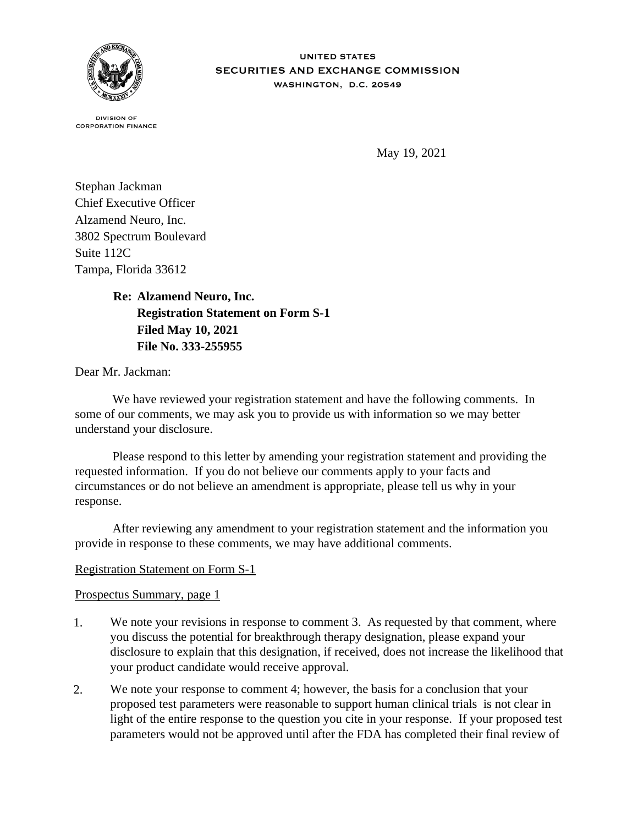

**DIVISION OF CORPORATION FINANCE** 

May 19, 2021

Stephan Jackman Chief Executive Officer Alzamend Neuro, Inc. 3802 Spectrum Boulevard Suite 112C Tampa, Florida 33612

> **Re: Alzamend Neuro, Inc. Registration Statement on Form S-1 Filed May 10, 2021 File No. 333-255955**

Dear Mr. Jackman:

 We have reviewed your registration statement and have the following comments. In some of our comments, we may ask you to provide us with information so we may better understand your disclosure.

 Please respond to this letter by amending your registration statement and providing the requested information. If you do not believe our comments apply to your facts and circumstances or do not believe an amendment is appropriate, please tell us why in your response.

 After reviewing any amendment to your registration statement and the information you provide in response to these comments, we may have additional comments.

## Registration Statement on Form S-1

## Prospectus Summary, page 1

- 1. We note your revisions in response to comment 3. As requested by that comment, where you discuss the potential for breakthrough therapy designation, please expand your disclosure to explain that this designation, if received, does not increase the likelihood that your product candidate would receive approval.
- 2. We note your response to comment 4; however, the basis for a conclusion that your proposed test parameters were reasonable to support human clinical trials is not clear in light of the entire response to the question you cite in your response. If your proposed test parameters would not be approved until after the FDA has completed their final review of